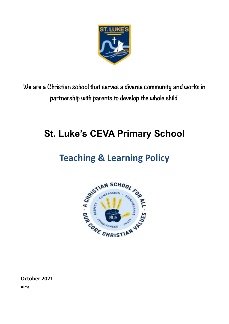

**We are a Christian school that serves a diverse community and works in partnership with parents to develop the whole child.**

# **St. Luke's CEVA Primary School**

# **Teaching & Learning Policy**



**October 2021**

**Aims**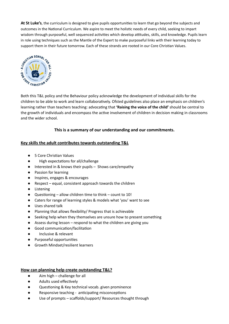**At St Luke's**, the curriculum is designed to give pupils opportunities to learn that go beyond the subjects and outcomes in the National Curriculum. We aspire to meet the holistic needs of every child, seeking to impart wisdom through purposeful, well sequenced activities which develop attitudes, skills, and knowledge. Pupils learn in role using techniques such as the Mantle of the Expert to make purposeful links with their learning today to support them in their future tomorrow. Each of these strands are rooted in our Core Christian Values.<br>  $\frac{1}{2}$ <br>  $\frac{1}{2}$ <br>  $\frac{1}{2}$ <br>  $\frac{1}{2}$ <br>  $\frac{1}{2}$ <br>  $\frac{1}{2}$ <br>  $\frac{1}{2}$ <br>  $\frac{1}{2}$ <br>  $\frac{1}{2}$ <br>  $\frac{1}{2}$ <br>  $\frac{1}{2}$ 



Both this T&L policy and the Behaviour policy acknowledge the development of individual skills for the children to be able to work and learn collaboratively. Ofsted guidelines also place an emphasis on children's learning rather than teachers teaching: advocating that **'Raising the voice of the child'** should be central to the growth of individuals and encompass the active involvement of children in decision making in classrooms and the wider school.

## **This is a summary of our understanding and our commitments.**

## **Key skills the adult contributes towards outstanding T&L**

- 5 Core Christian Values
- High expectations for all/challenge
- Interested in & knows their pupils Shows care/empathy
- Passion for learning
- Inspires, engages & encourages
- Respect equal, consistent approach towards the children
- Listening
- Questioning allow children time to think count to 10!
- Caters for range of learning styles & models what 'you' want to see
- Uses shared talk
- Planning that allows flexibility/ Progress that is achievable
- Seeking help when they themselves are unsure how to present something
- Assess during lesson respond to what the children are giving you
- Good communication/facilitation
- Inclusive & relevant
- Purposeful opportunities
- Growth Mindset/resilient learners

#### **How can planning help create outstanding T&L?**

- $\bullet$  Aim high challenge for all
- Adults used effectively
- Questioning & Key technical vocab. given prominence
- Responsive teaching anticipating misconceptions
- Use of prompts scaffolds/support/ Resources thought through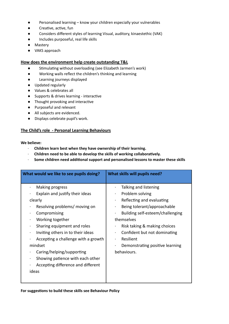- Personalised learning know your children especially your vulnerables
- Creative, active, fun
- Considers different styles of learning Visual, auditory, kinaestethic (VAK)
- Includes purposeful, real life skills
- Mastery
- VAKS approach

## **How does the environment help create outstanding T&L**

- Stimulating without overloading (see Elizabeth Jarmen's work)
- Working walls reflect the children's thinking and learning
- Learning journeys displayed
- Updated regularly
- Values & celebrates all
- Supports & drives learning interactive
- Thought provoking and interactive
- Purposeful and relevant
- All subjects are evidenced.
- Displays celebrate pupil's work.

## **The Child's role - Personal Learning Behaviours**

### **We believe:**

- · **Children learn best when they have ownership of their learning.**
- · **Children need to be able to develop the skills of working collaboratively.**
- · **Some children need additional support and personalised lessons to master these skills**

| What would we like to see pupils doing?                                                                                                                                                                                                                                                                                                                                  | What skills will pupils need?                                                                                                                                                                                                                                                                                   |
|--------------------------------------------------------------------------------------------------------------------------------------------------------------------------------------------------------------------------------------------------------------------------------------------------------------------------------------------------------------------------|-----------------------------------------------------------------------------------------------------------------------------------------------------------------------------------------------------------------------------------------------------------------------------------------------------------------|
| Making progress<br>Explain and justify their ideas<br>clearly<br>Resolving problems/ moving on<br>Compromising<br>Working together<br>Sharing equipment and roles<br>Inviting others in to their ideas<br>Accepting a challenge with a growth<br>mindset<br>Caring/helping/supporting<br>Showing patience with each other<br>Accepting difference and different<br>ideas | Talking and listening<br>Problem solving<br>$\bullet$<br>Reflecting and evaluating<br>$\bullet$<br>Being tolerant/approachable<br>Building self-esteem/challenging<br>themselves<br>Risk taking & making choices<br>Confident but not dominating<br>Resilient<br>Demonstrating positive learning<br>behaviours. |

#### **For suggestions to build these skills see Behaviour Policy**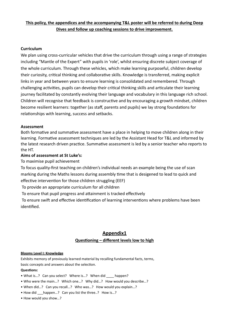## **This policy, the appendices and the accompanying T&L poster will be referred to during Deep Dives and follow up coaching sessions to drive improvement.**

## **Curriculum**

We plan using cross-curricular vehicles that drive the curriculum through using a range of strategies including "Mantle of the Expert" with pupils in 'role', whilst ensuring discrete subject coverage of the whole curriculum. Through these vehicles, which make learning purposeful, children develop their curiosity, critical thinking and collaborative skills. Knowledge is transferred, making explicit links in year and between years to ensure learning is consolidated and remembered. Through challenging activities, pupils can develop their critical thinking skills and articulate their learning journey facilitated by constantly evolving their language and vocabulary in this language rich school. Children will recognise that feedback is constructive and by encouraging a growth mindset, children become resilient learners: together (as staff, parents and pupils) we lay strong foundations for relationships with learning, success and setbacks.

## **Assessment**

Both formative and summative assessment have a place in helping to move children along in their learning. Formative assessment techniques are led by the Assistant Head for T&L and informed by the latest research driven practice. Summative assessment is led by a senior teacher who reports to the HT.

## **Aims of assessment at St Luke's:**

To maximise pupil achievement

To focus quality-first teaching on children's individual needs an example being the use of scan marking during the Maths lessons during assembly time that is desigened to lead to quick and effective intervention for those children struggling (EEF)

To provide an appropriate curriculum for all children

To ensure that pupil progress and attainment is tracked effectively

 To ensure swift and effective identification of learning interventions where problems have been identified.

## **Appendix1**

## **Questioning – different levels low to high**

#### **Blooms Level I: Knowledge**

Exhibits memory of previously learned material by recalling fundamental facts, terms, basic concepts and answers about the selection. **Questions:**

- What is...? Can you select? Where is...? When did happen?
- Who were the main…? Which one…? Why did…? How would you describe…?
- When did…? Can you recall…? Who was…? How would you explain…?
- How did happen...? Can you list the three..? How is...?
- How would you show…?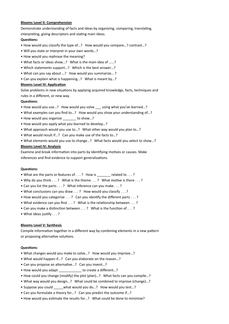#### **Blooms Level II: Comprehension**

Demonstrate understanding of facts and ideas by organizing, comparing, translating, interpreting, giving descriptors and stating main ideas.

#### **Questions:**

- How would you classify the type of…? How would you compare…? contrast…?
- Will you state or interpret in your own words…?
- How would you rephrase the meaning?
- What facts or ideas show…? What is the main idea of ……?
- Which statements support…? Which is the best answer…?
- What can you say about …? How would you summarize… ?
- Can you explain what is happening…? What is meant by…?

#### **Blooms Level III: Application**

Solve problems in new situations by applying acquired knowledge, facts, techniques and rules in a different, or new way.

#### **Questions:**

- How would you use…? How would you solve \_\_\_ using what you've learned…?
- What examples can you find to…? How would you show your understanding of…?
- How would you organize \_\_\_\_\_\_\_ to show…?
- How would you apply what you learned to develop…?
- What approach would you use to…? What other way would you plan to…?
- What would result if…? Can you make use of the facts to…?
- What elements would you use to change…? What facts would you select to show…?

#### **Blooms Level IV: Analysis**

Examine and break information into parts by identifying motives or causes. Make inferences and find evidence to support generalizations.

#### **Questions:**

- What are the parts or features of . . . ? How is \_\_\_\_\_\_\_ related to . . . ?
- Why do you think . . . ? What is the theme . . . ? What motive is there . . . ?
- Can you list the parts . . . ? What inference can you make . . . ?
- What conclusions can you draw . . . ? How would you classify . . . ?
- How would you categorize . . . ? Can you identify the different parts . . . ?
- What evidence can you find . . . ? What is the relationship between . . . ?
- Can you make a distinction between . . . ? What is the function of . . . ?
- What ideas justify . . . ?

#### **Blooms Level V: Synthesis**

Compile information together in a different way by combining elements in a new pattern or proposing alternative solutions.

#### **Questions:**

- What changes would you make to solve…? How would you improve…?
- What would happen if…? Can you elaborate on the reason…?
- Can you propose an alternative…? Can you invent…?
- How would you adapt to create a different...?
- How could you change (modify) the plot (plan)…? What facts can you compile…?
- What way would you design…? What could be combined to improve (change)…?
- Suppose you could what would you do…? How would you test...?
- Can you formulate a theory for…? Can you predict the outcome if…?
- How would you estimate the results for…? What could be done to minimize?